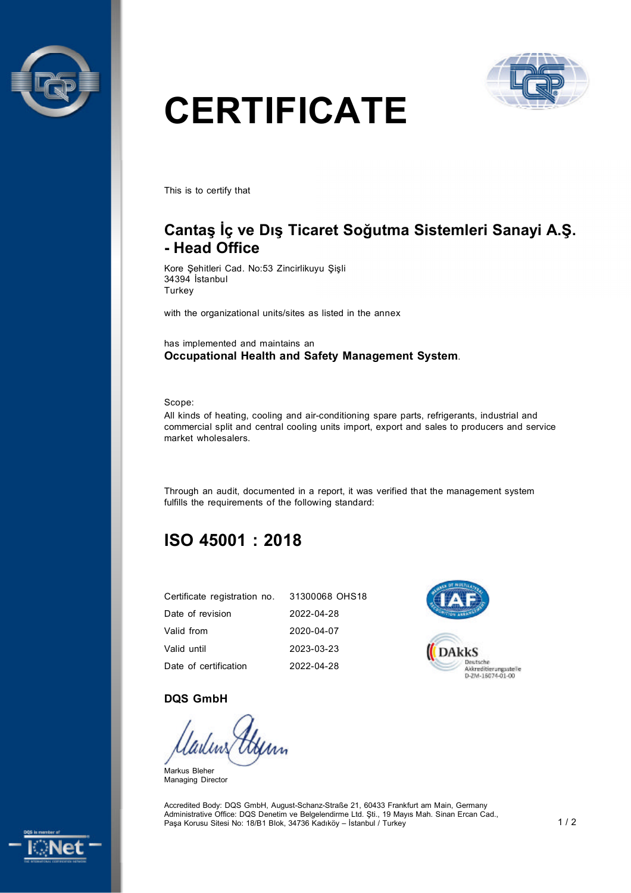



# **CERTIFICATE**

This is to certify that

## **Cantaş İç ve Dış Ticaret Soğutma Sistemleri Sanayi A.Ş. - Head Office**

Kore Şehitleri Cad. No:53 Zincirlikuyu Şişli 34394 İstanbul **Turkey** 

with the organizational units/sites as listed in the annex

has implemented and maintains an **Occupational Health and Safety Management System**.

Scope:

All kinds of heating, cooling and air-conditioning spare parts, refrigerants, industrial and commercial split and central cooling units import, export and sales to producers and service market wholesalers.

Through an audit, documented in a report, it was verified that the management system fulfills the requirements of the following standard:

# **ISO 45001 : 2018**

| Certificate registration no. 31300068 OHS18 |            |
|---------------------------------------------|------------|
| Date of revision                            | 2022-04-28 |
| Valid from                                  | 2020-04-07 |
| Valid until                                 | 2023-03-23 |
| Date of certification                       | 2022-04-28 |



#### **DQS GmbH**

Markus Bleher Managing Director

Accredited Body: DQS GmbH, August-Schanz-Straße 21, 60433 Frankfurt am Main, Germany Administrative Office: DQS Denetim ve Belgelendirme Ltd. Şti., 19 Mayıs Mah. Sinan Ercan Cad., Paşa Korusu Sitesi No: 18/B1 Blok, 34736 Kadıköy – İstanbul / Turkey 1 / 2 1 / 2 1 / 2 1 / 2 1 / 2 1 / 2 1 / 2